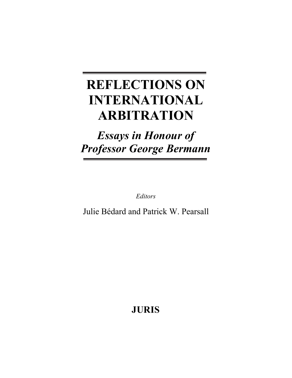# **REFLECTIONS ON INTERNATIONAL ARBITRATION**

# *Essays in Honour of Professor George Bermann*

*Editors* 

Julie Bédard and Patrick W. Pearsall

**JURIS**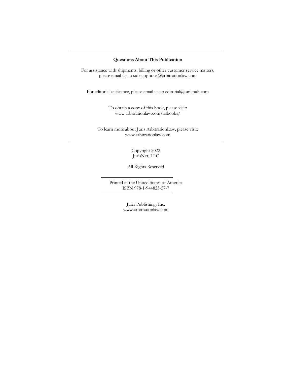#### **Questions About This Publication**

For assistance with shipments, billing or other customer service matters, please email us at: subscriptions@arbitrationlaw.com

For editorial assistance, please email us at: editorial@jurispub.com

To obtain a copy of this book, please visit: www.arbitrationlaw.com/allbooks/

To learn more about Juris ArbitrationLaw, please visit: www.arbitrationlaw.com

> Copyright 2022 JurisNet, LLC

All Rights Reserved

Printed in the United States of America ISBN 978-1-944825-57-7

> Juris Publishing, Inc. www.arbitrationlaw.com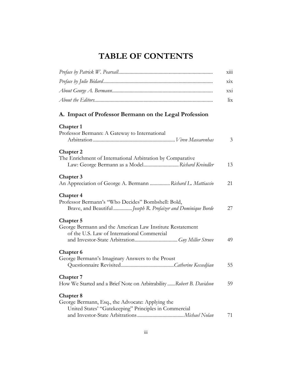# **TABLE OF CONTENTS**

|                                                                                                                                 | <b>X111</b>                     |
|---------------------------------------------------------------------------------------------------------------------------------|---------------------------------|
|                                                                                                                                 | $\overline{X}$                  |
|                                                                                                                                 | $\overline{\text{XX1}}$         |
|                                                                                                                                 | $\overline{\text{h}}\textbf{x}$ |
| A. Impact of Professor Bermann on the Legal Profession                                                                          |                                 |
| Chapter 1<br>Professor Bermann: A Gateway to International                                                                      | 3                               |
| Chapter 2<br>The Enrichment of International Arbitration by Comparative<br>Law: George Bermann as a Model Richard Kreindler     | 13                              |
| Chapter 3<br>An Appreciation of George A. Bermann  Richard L. Mattiaccio                                                        | 21                              |
| Chapter 4<br>Professor Bermann's "Who Decides" Bombshell: Bold,<br>Brave, and Beautiful Joseph R. Profaizer and Dominique Borde | 27                              |
| Chapter 5<br>George Bermann and the American Law Institute Restatement<br>of the U.S. Law of International Commercial           | 49                              |
| Chapter 6<br>George Bermann's Imaginary Answers to the Proust                                                                   | 55                              |
| Chapter 7<br>How We Started and a Brief Note on Arbitrability  Robert B. Davidson                                               | 59                              |
| Chapter 8<br>George Bermann, Esq., the Advocate: Applying the<br>United States' "Gatekeeping" Principles in Commercial          | 71                              |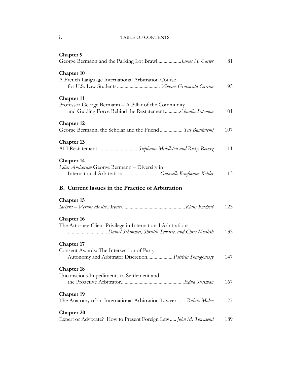### iv TABLE OF CONTENTS

| Chapter 9                                                                                                                               | 81  |
|-----------------------------------------------------------------------------------------------------------------------------------------|-----|
| Chapter 10<br>A French Language International Arbitration Course                                                                        | 95  |
| <b>Chapter 11</b><br>Professor George Bermann - A Pillar of the Community<br>and Guiding Force Behind the RestatementClaudia Salomon    | 101 |
| <b>Chapter 12</b><br>George Bermann, the Scholar and the Friend  Yas Banifatemi                                                         | 107 |
| <b>Chapter 13</b><br>ALI Restatement Stephanie Middleton and Ricky Revesz                                                               | 111 |
| <b>Chapter 14</b><br>Liber Amicorum George Bermann - Diversity in<br>International Arbitration Gabrielle Kaufmann-Kohler                | 113 |
| <b>B.</b> Current Issues in the Practice of Arbitration                                                                                 |     |
| <b>Chapter 15</b>                                                                                                                       | 123 |
| <b>Chapter 16</b><br>The Attorney-Client Privilege in International Arbitrations<br>Daniel Schimmel, Shrutih Tewarie, and Chris Modlish | 133 |
| <b>Chapter 17</b><br>Consent Awards: The Intersection of Party<br>Autonomy and Arbitrator Discretion Patricia Shaughnessy               | 147 |
| <b>Chapter 18</b><br>Unconscious Impediments to Settlement and                                                                          | 167 |
| <b>Chapter 19</b><br>The Anatomy of an International Arbitration Lawyer  Rahim Moloo                                                    | 177 |
| <b>Chapter 20</b><br>Expert or Advocate? How to Present Foreign Law  John M. Townsend                                                   | 189 |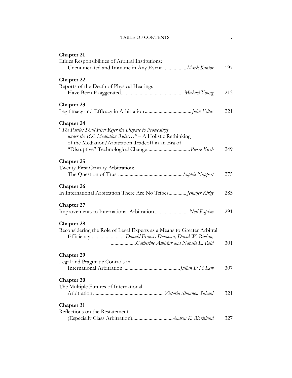| <b>TABLE OF CONTENTS</b> |  |
|--------------------------|--|
|--------------------------|--|

| <b>Chapter 21</b>                                                                                                                                                                              |     |
|------------------------------------------------------------------------------------------------------------------------------------------------------------------------------------------------|-----|
| Ethics Responsibilities of Arbitral Institutions:<br>Unenumerated and Immune in Any Event Mark Kantor                                                                                          | 197 |
| <b>Chapter 22</b>                                                                                                                                                                              |     |
| Reports of the Death of Physical Hearings                                                                                                                                                      |     |
|                                                                                                                                                                                                | 213 |
| <b>Chapter 23</b>                                                                                                                                                                              |     |
|                                                                                                                                                                                                | 221 |
| <b>Chapter 24</b><br>"The Parties Shall First Refer the Dispute to Proceedings<br>under the ICC Mediation Rules" - A Holistic Rethinking<br>of the Mediation/Arbitration Tradeoff in an Era of | 249 |
| <b>Chapter 25</b>                                                                                                                                                                              |     |
| Twenty-First Century Arbitration:                                                                                                                                                              |     |
|                                                                                                                                                                                                | 275 |
| <b>Chapter 26</b><br>In International Arbitration There Are No Tribes Jennifer Kirby                                                                                                           | 285 |
| <b>Chapter 27</b>                                                                                                                                                                              |     |
| Improvements to International Arbitration  Neil Kaplan                                                                                                                                         | 291 |
| <b>Chapter 28</b><br>Reconsidering the Role of Legal Experts as a Means to Greater Arbitral<br>Catherine Amirfar and Natalie L. Reid                                                           | 301 |
| <b>Chapter 29</b>                                                                                                                                                                              |     |
| Legal and Pragmatic Controls in                                                                                                                                                                | 307 |
| <b>Chapter 30</b><br>The Multiple Futures of International                                                                                                                                     |     |
|                                                                                                                                                                                                | 321 |
| <b>Chapter 31</b><br>Reflections on the Restatement                                                                                                                                            | 327 |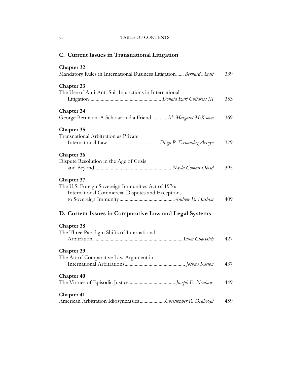# vi TABLE OF CONTENTS

| C. Current Issues in Transnational Litigation                                                                               |     |
|-----------------------------------------------------------------------------------------------------------------------------|-----|
| <b>Chapter 32</b><br>Mandatory Rules in International Business Litigation Bernard Audit                                     | 339 |
| <b>Chapter 33</b><br>The Use of Anti-Anti-Suit Injunctions in International                                                 | 353 |
| <b>Chapter</b> 34<br>George Bermann: A Scholar and a Friend  M. Margaret McKeown                                            | 369 |
| <b>Chapter 35</b><br>Transnational Arbitration as Private                                                                   | 379 |
| <b>Chapter</b> 36<br>Dispute Resolution in the Age of Crisis                                                                | 395 |
| <b>Chapter 37</b><br>The U.S. Foreign Sovereign Immunities Act of 1976:<br>International Commercial Disputes and Exceptions | 409 |
| D. Current Issues in Comparative Law and Legal Systems                                                                      |     |
| <b>Chapter 38</b><br>The Three Paradigm Shifts of International                                                             | 427 |
| <b>Chapter 39</b><br>The Art of Comparative Law Argument in                                                                 |     |
| <b>Chapter 40</b>                                                                                                           | 449 |
| <b>Chapter 41</b><br>American Arbitration IdiosyncrasiesChristopher R. Drahozal                                             | 459 |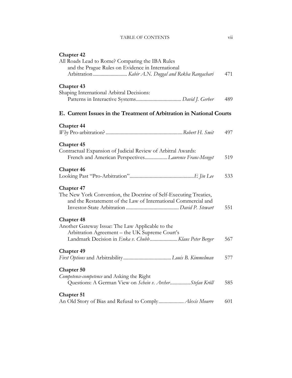# TABLE OF CONTENTS vii

| <b>Chapter 42</b>                                                    |     |
|----------------------------------------------------------------------|-----|
| All Roads Lead to Rome? Comparing the IBA Rules                      |     |
| and the Prague Rules on Evidence in International                    |     |
|                                                                      | 471 |
| <b>Chapter 43</b>                                                    |     |
| Shaping International Arbitral Decisions:                            |     |
|                                                                      | 489 |
| E. Current Issues in the Treatment of Arbitration in National Courts |     |
| <b>Chapter 44</b>                                                    |     |
|                                                                      | 497 |
|                                                                      |     |
| <b>Chapter 45</b>                                                    |     |
| Contractual Expansion of Judicial Review of Arbitral Awards:         |     |
| French and American PerspectivesLaurence Franc-Menget                | 519 |
|                                                                      |     |
| <b>Chapter 46</b>                                                    |     |
|                                                                      | 533 |
| <b>Chapter 47</b>                                                    |     |
| The New York Convention, the Doctrine of Self-Executing Treaties,    |     |
| and the Restatement of the Law of International Commercial and       |     |
|                                                                      | 551 |
|                                                                      |     |
| <b>Chapter 48</b>                                                    |     |
| Another Gateway Issue: The Law Applicable to the                     |     |
| Arbitration Agreement - the UK Supreme Court's                       |     |
| Landmark Decision in Enka v. Chubb Klaus Peter Berger                | 567 |
| <b>Chapter 49</b>                                                    |     |
|                                                                      | 577 |
|                                                                      |     |
| <b>Chapter 50</b>                                                    |     |
| Competence-competence and Asking the Right                           |     |
| Questions: A German View on Schein v. ArcherStefan Kröll             | 585 |
| Chapter 51                                                           |     |
|                                                                      | 601 |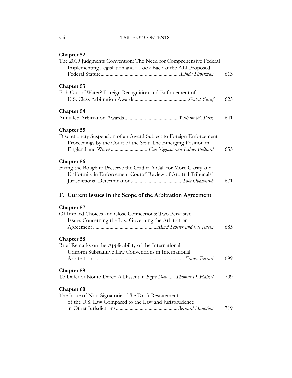#### TABLE OF CONTENTS

| <b>Chapter 52</b>                                                                                                                                          |     |
|------------------------------------------------------------------------------------------------------------------------------------------------------------|-----|
| The 2019 Judgments Convention: The Need for Comprehensive Federal<br>Implementing Legislation and a Look Back at the ALI Proposed                          |     |
|                                                                                                                                                            | 613 |
| <b>Chapter 53</b>                                                                                                                                          |     |
| Fish Out of Water? Foreign Recognition and Enforcement of                                                                                                  | 625 |
| <b>Chapter 54</b>                                                                                                                                          | 641 |
| <b>Chapter 55</b><br>Discretionary Suspension of an Award Subject to Foreign Enforcement<br>Proceedings by the Court of the Seat: The Emerging Position in | 653 |
| Chapter 56<br>Fixing the Bough to Preserve the Cradle: A Call for More Clarity and<br>Uniformity in Enforcement Courts' Review of Arbitral Tribunals'      | 671 |
| F. Current Issues in the Scope of the Arbitration Agreement                                                                                                |     |
| <b>Chapter 57</b>                                                                                                                                          |     |
| Of Implied Choices and Close Connections: Two Pervasive<br>Issues Concerning the Law Governing the Arbitration                                             |     |
|                                                                                                                                                            | 685 |
| <b>Chapter 58</b>                                                                                                                                          |     |
| Brief Remarks on the Applicability of the International<br>Uniform Substantive Law Conventions in International                                            |     |
|                                                                                                                                                            | 699 |
| <b>Chapter 59</b>                                                                                                                                          |     |
| To Defer or Not to Defer: A Dissent in Bayer Dow Thomas D. Halket                                                                                          | 709 |
| Chapter <sub>60</sub>                                                                                                                                      |     |
| The Issue of Non-Signatories: The Draft Restatement                                                                                                        |     |
| of the U.S. Law Compared to the Law and Jurisprudence                                                                                                      | 719 |

 $\rm viii$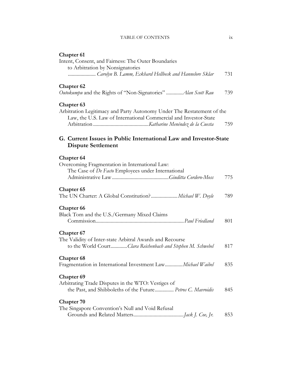#### TABLE OF CONTENTS ix

| Chapter 61                                                             |     |
|------------------------------------------------------------------------|-----|
| Intent, Consent, and Fairness: The Outer Boundaries                    |     |
| to Arbitration by Nonsignatories                                       |     |
| Carolyn B. Lamm, Eckhard Hellbeck and Hannelore Sklar                  | 731 |
| <b>Chapter 62</b>                                                      |     |
| Outokumpu and the Rights of "Non-Signatories"  Alan Scott Rau          | 739 |
| Chapter <sub>63</sub>                                                  |     |
| Arbitration Legitimacy and Party Autonomy Under The Restatement of the |     |
| Law, the U.S. Law of International Commercial and Investor-State       |     |
|                                                                        | 759 |
|                                                                        |     |
| G. Current Issues in Public International Law and Investor-State       |     |
| <b>Dispute Settlement</b>                                              |     |
| <b>Chapter 64</b>                                                      |     |
| Overcoming Fragmentation in International Law:                         |     |
| The Case of De Facto Employees under International                     |     |
|                                                                        | 775 |
| <b>Chapter 65</b>                                                      |     |
|                                                                        | 789 |
| Chapter 66                                                             |     |
| Black Tom and the U.S./Germany Mixed Claims                            |     |
|                                                                        | 801 |
|                                                                        |     |
| Chapter 67                                                             |     |
| The Validity of Inter-state Arbitral Awards and Recourse               |     |
| to the World CourtClara Reichenbach and Stephen M. Schwebel            | 817 |
| Chapter 68                                                             |     |
| Fragmentation in International Investment Law Michael Waibel           | 835 |
| Chapter 69                                                             |     |
| Arbitrating Trade Disputes in the WTO: Vestiges of                     |     |
| the Past, and Shibboleths of the Future Petros C. Mavroidis            | 845 |

# **Chapter 70**

| The Singapore Convention's Null and Void Refusal |     |
|--------------------------------------------------|-----|
|                                                  | 853 |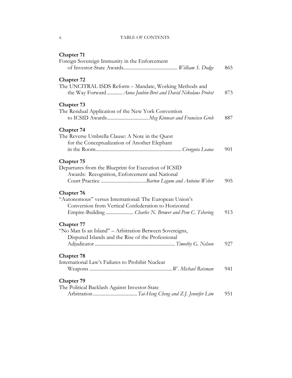# x TABLE OF CONTENTS

| <b>Chapter 71</b>                                                                                                                                                                              |     |
|------------------------------------------------------------------------------------------------------------------------------------------------------------------------------------------------|-----|
| Foreign Sovereign Immunity in the Enforcement                                                                                                                                                  | 865 |
| Chapter 72<br>The UNCITRAL ISDS Reform - Mandate, Working Methods and<br>the Way Forward  Anna Joubin-Bret and David Nikolaus Probst                                                           | 873 |
| <b>Chapter 73</b><br>The Residual Application of the New York Convention                                                                                                                       | 887 |
| Chapter 74<br>The Reverse Umbrella Clause: A Note in the Quest<br>for the Conceptualization of Another Elephant                                                                                | 901 |
| <b>Chapter 75</b><br>Departures from the Blueprint for Execution of ICSID<br>Awards: Recognition, Enforcement and National                                                                     | 905 |
| <b>Chapter 76</b><br>"Autonomous" versus International: The European Union's<br>Conversion from Vertical Confederation to Horizontal<br>Empire-Building  Charles N. Brower and Pem C. Tshering | 913 |
| <b>Chapter 77</b><br>"No Man Is an Island" - Arbitration Between Sovereigns,<br>Disputed Islands and the Rise of the Professional                                                              | 927 |
| <b>Chapter 78</b><br>International Law's Failures to Prohibit Nuclear                                                                                                                          | 941 |
| Chapter 79<br>The Political Backlash Against Investor-State                                                                                                                                    | 951 |